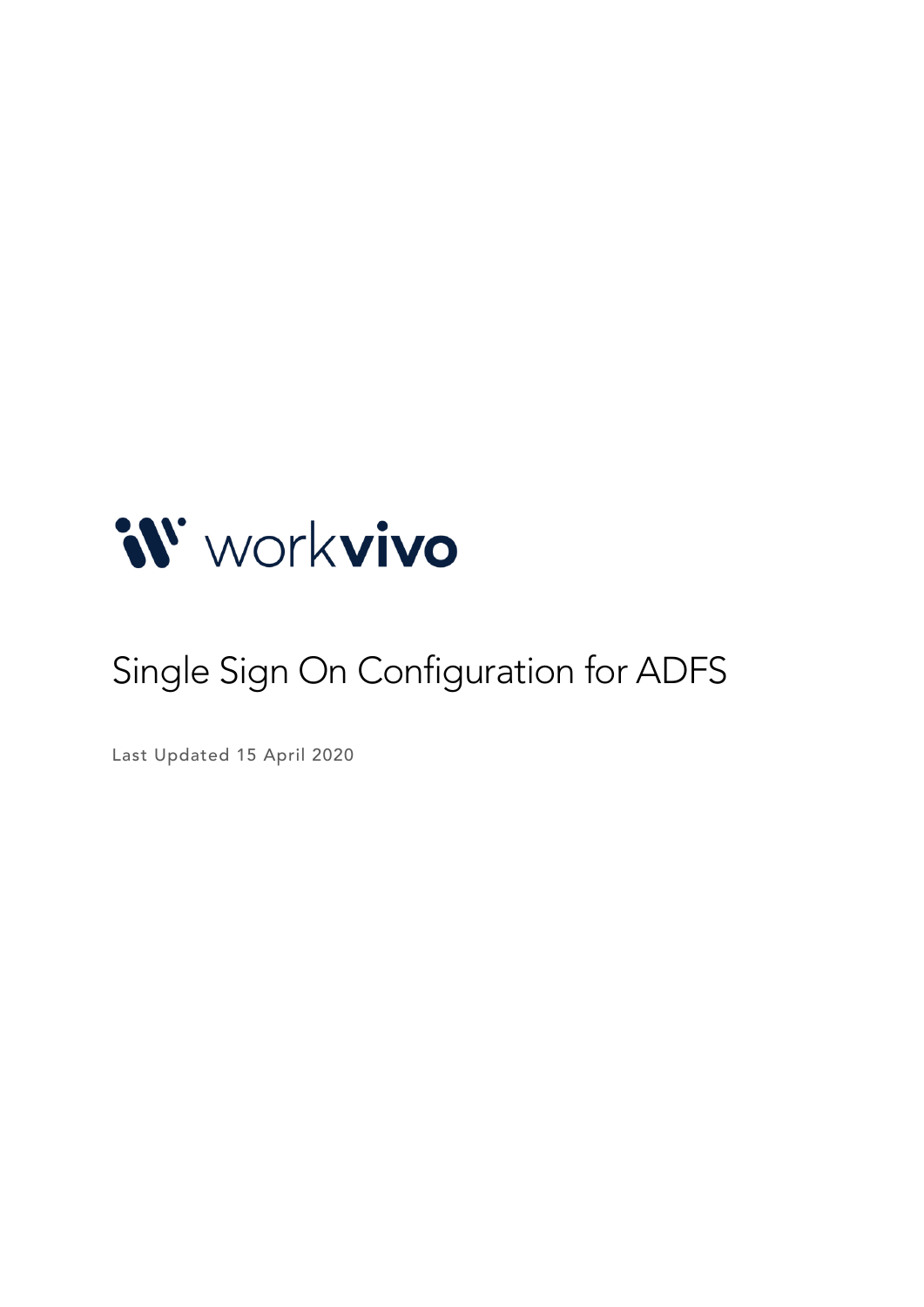

# Single Sign On Configuration for ADFS

Last Updated 15 April 2020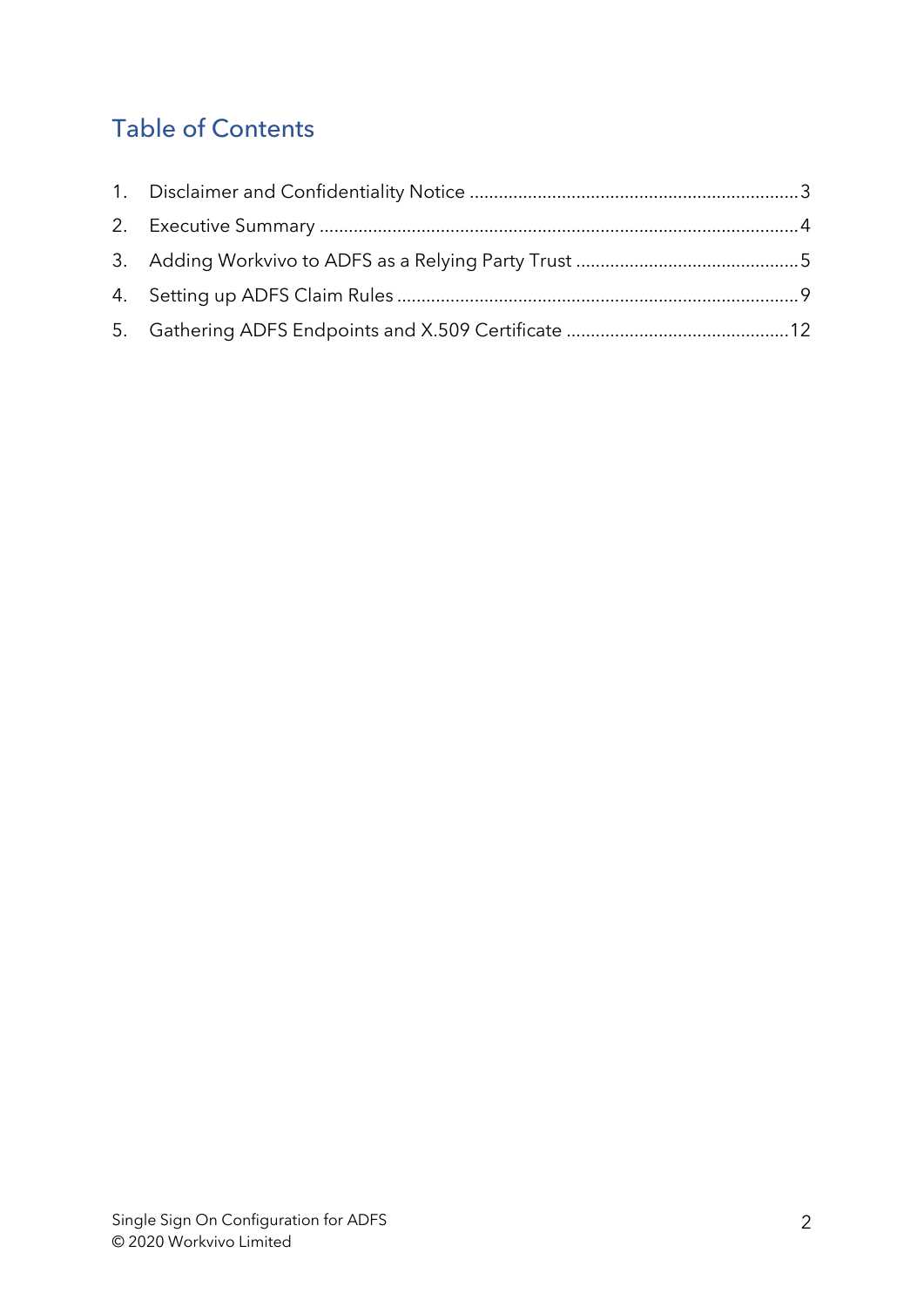# Table of Contents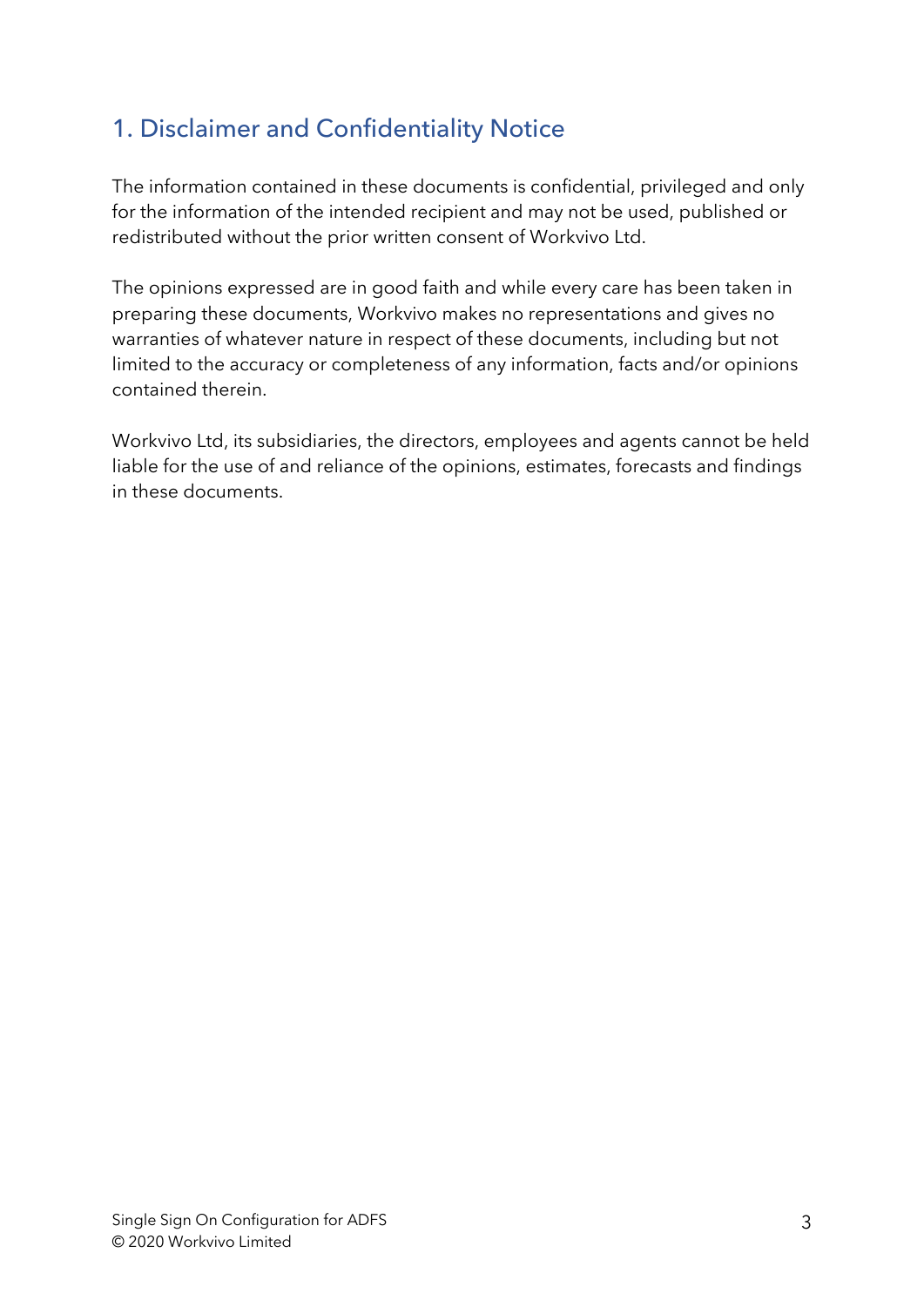### 1. Disclaimer and Confidentiality Notice

The information contained in these documents is confidential, privileged and only for the information of the intended recipient and may not be used, published or redistributed without the prior written consent of Workvivo Ltd.

The opinions expressed are in good faith and while every care has been taken in preparing these documents, Workvivo makes no representations and gives no warranties of whatever nature in respect of these documents, including but not limited to the accuracy or completeness of any information, facts and/or opinions contained therein.

Workvivo Ltd, its subsidiaries, the directors, employees and agents cannot be held liable for the use of and reliance of the opinions, estimates, forecasts and findings in these documents.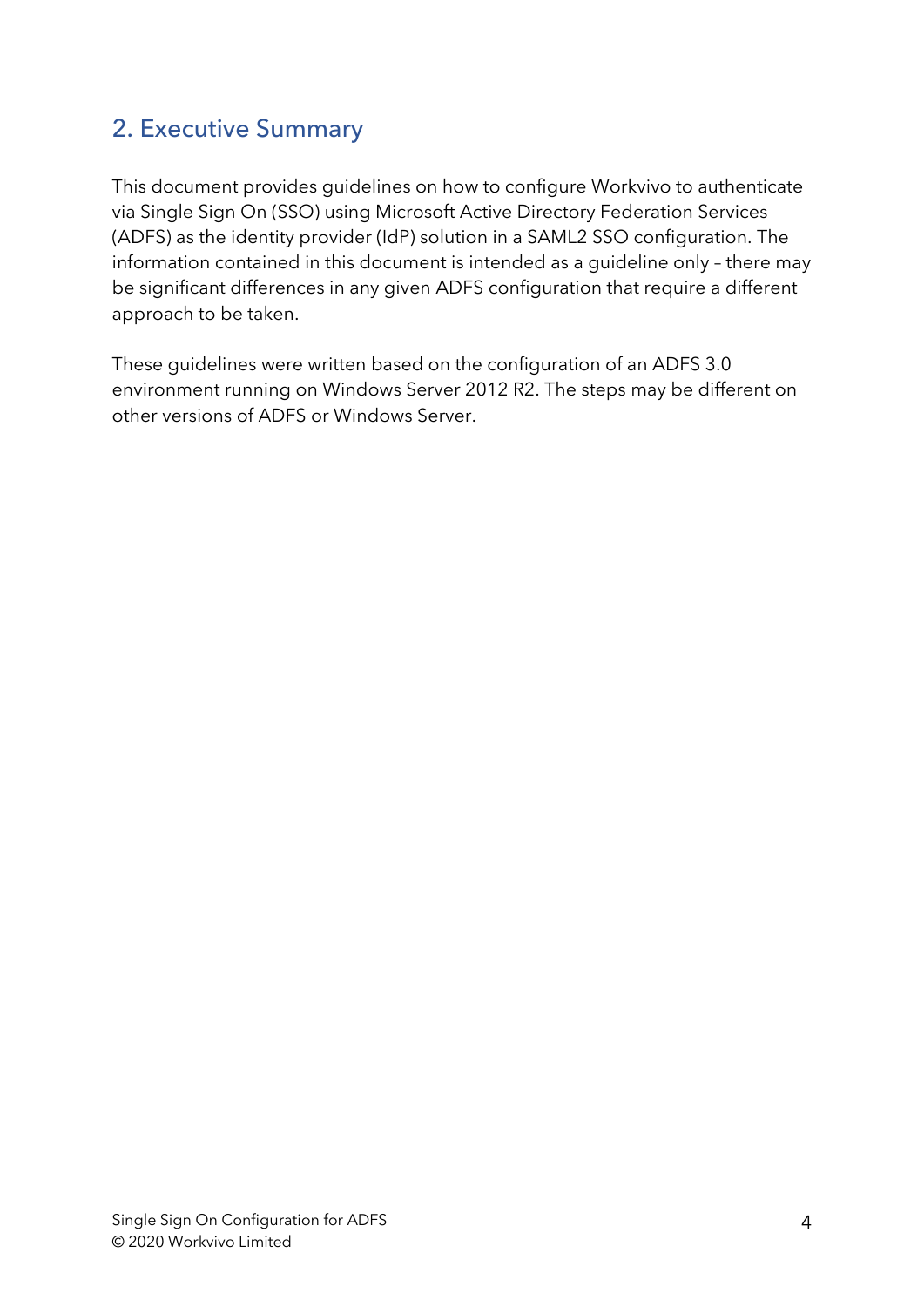#### 2. Executive Summary

This document provides guidelines on how to configure Workvivo to authenticate via Single Sign On (SSO) using Microsoft Active Directory Federation Services (ADFS) as the identity provider (IdP) solution in a SAML2 SSO configuration. The information contained in this document is intended as a guideline only – there may be significant differences in any given ADFS configuration that require a different approach to be taken.

These guidelines were written based on the configuration of an ADFS 3.0 environment running on Windows Server 2012 R2. The steps may be different on other versions of ADFS or Windows Server.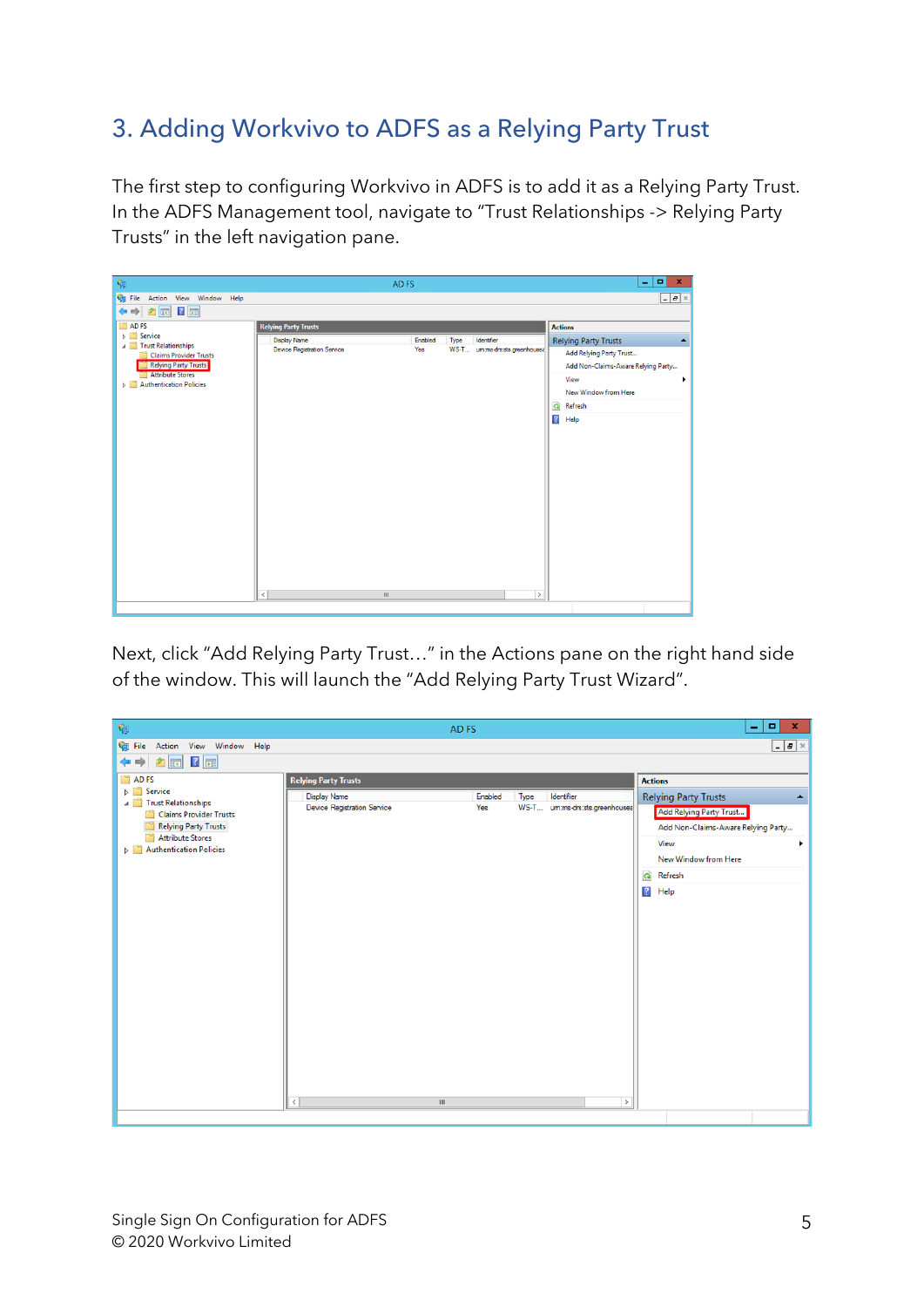# 3. Adding Workvivo to ADFS as a Relying Party Trust

The first step to configuring Workvivo in ADFS is to add it as a Relying Party Trust. In the ADFS Management tool, navigate to "Trust Relationships -> Relying Party Trusts" in the left navigation pane.

| 陶                                                                             | AD FS                       |                 |                               | $\blacksquare$<br>$\mathbf{x}$<br>٠             |
|-------------------------------------------------------------------------------|-----------------------------|-----------------|-------------------------------|-------------------------------------------------|
| File Action View Window Help                                                  |                             |                 |                               | $-1 - x$                                        |
| 台图 【围                                                                         |                             |                 |                               |                                                 |
| ADFS                                                                          | <b>Relying Party Trusts</b> |                 |                               | <b>Actions</b>                                  |
| <b>Service</b><br>Trust Relationships                                         | <b>Display Name</b>         | Enabled<br>Type | Identifier                    | <b>Relying Party Trusts</b><br>$\blacktriangle$ |
| <b>Claims Provider Trusts</b>                                                 | Device Registration Service | Yes             | WS-T umms-drs:sts.greenhousea | Add Relying Party Trust                         |
| <b>Relying Party Trusts</b>                                                   |                             |                 |                               | Add Non-Claims-Aware Relying Party              |
| <b>Attribute Stores</b><br><b>Authentication Policies</b><br>$\triangleright$ |                             |                 |                               | View<br>٠                                       |
|                                                                               |                             |                 |                               | New Window from Here                            |
|                                                                               |                             |                 |                               | Refresh<br>$\Omega$                             |
|                                                                               |                             |                 |                               | $\vert$ ?<br>Help                               |
|                                                                               |                             |                 |                               |                                                 |
|                                                                               |                             |                 |                               |                                                 |
|                                                                               |                             |                 |                               |                                                 |
|                                                                               |                             |                 |                               |                                                 |
|                                                                               |                             |                 |                               |                                                 |
|                                                                               |                             |                 |                               |                                                 |
|                                                                               |                             |                 |                               |                                                 |
|                                                                               |                             |                 |                               |                                                 |
|                                                                               |                             |                 |                               |                                                 |
|                                                                               |                             |                 |                               |                                                 |
|                                                                               |                             |                 |                               |                                                 |
|                                                                               |                             |                 |                               |                                                 |
|                                                                               | $\langle$<br>Ш              |                 | $\rightarrow$                 |                                                 |
|                                                                               |                             |                 |                               |                                                 |

Next, click "Add Relying Party Trust…" in the Actions pane on the right hand side of the window. This will launch the "Add Relying Party Trust Wizard".

| 咖                                                                                                                                                                                                                                          | AD <sub>FS</sub>                                                                  |                                                                        | ۰<br>$\mathbf{x}$<br>۰                                                                                                                                                                                                    |
|--------------------------------------------------------------------------------------------------------------------------------------------------------------------------------------------------------------------------------------------|-----------------------------------------------------------------------------------|------------------------------------------------------------------------|---------------------------------------------------------------------------------------------------------------------------------------------------------------------------------------------------------------------------|
| Action View Window Help<br><b>Star File</b>                                                                                                                                                                                                |                                                                                   |                                                                        | $  \times$                                                                                                                                                                                                                |
| △ ⊠ 【 ⊠<br>⇛                                                                                                                                                                                                                               |                                                                                   |                                                                        |                                                                                                                                                                                                                           |
| n<br>AD <sub>FS</sub><br>$\triangleright$ $\blacksquare$ Service<br><b>4</b> Trust Relationships<br>Claims Provider Trusts<br><b>Relying Party Trusts</b><br><b>Attribute Stores</b><br><b>Authentication Policies</b><br>$\triangleright$ | <b>Relying Party Trusts</b><br><b>Display Name</b><br>Device Registration Service | Enabled<br>Identifier<br>Type<br>Yes<br>WS-T um:ms-drs:sts.greenhousea | <b>Actions</b><br><b>Relying Party Trusts</b><br>$\blacktriangle$<br>Add Relying Party Trust<br>Add Non-Claims-Aware Relying Party<br>View<br>٠<br>New Window from Here<br>$\pmb{\Omega}$<br>Refresh<br>$\vert$ ?<br>Help |
|                                                                                                                                                                                                                                            | $\hat{<}$<br>$\mathbf{H}$                                                         | $\rightarrow$                                                          |                                                                                                                                                                                                                           |
|                                                                                                                                                                                                                                            |                                                                                   |                                                                        |                                                                                                                                                                                                                           |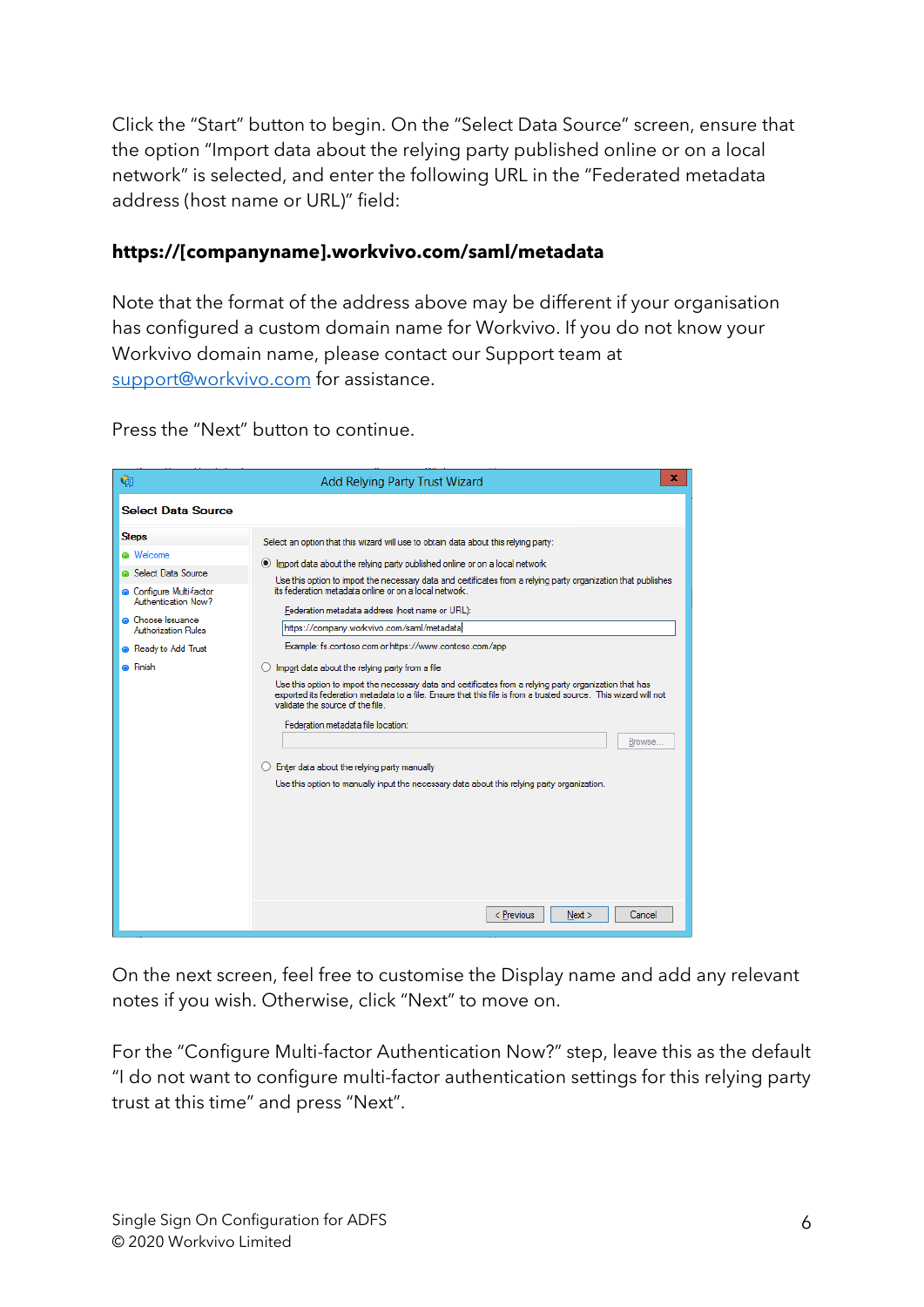Click the "Start" button to begin. On the "Select Data Source" screen, ensure that the option "Import data about the relying party published online or on a local network" is selected, and enter the following URL in the "Federated metadata address (host name or URL)" field:

#### **https://[companyname].workvivo.com/saml/metadata**

Note that the format of the address above may be different if your organisation has configured a custom domain name for Workvivo. If you do not know your Workvivo domain name, please contact our Support team at support@workvivo.com for assistance.

Press the "Next" button to continue.

| ۴ŋ                                                                                                                                                                                                    | x<br>Add Relying Party Trust Wizard                                                                                                                                                                                                                                                                                                                                                                                                                                                                                                                                                                                                                                                                                                                                                                                                                                                                                                                                                                                                                     |
|-------------------------------------------------------------------------------------------------------------------------------------------------------------------------------------------------------|---------------------------------------------------------------------------------------------------------------------------------------------------------------------------------------------------------------------------------------------------------------------------------------------------------------------------------------------------------------------------------------------------------------------------------------------------------------------------------------------------------------------------------------------------------------------------------------------------------------------------------------------------------------------------------------------------------------------------------------------------------------------------------------------------------------------------------------------------------------------------------------------------------------------------------------------------------------------------------------------------------------------------------------------------------|
| <b>Select Data Source</b>                                                                                                                                                                             |                                                                                                                                                                                                                                                                                                                                                                                                                                                                                                                                                                                                                                                                                                                                                                                                                                                                                                                                                                                                                                                         |
| <b>Steps</b><br><b>a</b> Welcome<br><b>a</b> Select Data Source<br>Configure Multi-factor<br>Authentication Now?<br>• Choose Issuance<br>Authorization Rules<br>Ready to Add Trust<br><b>C</b> Finish | Select an option that this wizard will use to obtain data about this relying party:<br>(e) Import data about the relying party published online or on a local network<br>Use this option to import the necessary data and certificates from a relying party organization that publishes<br>its federation metadata online or on a local network.<br>Federation metadata address (host name or URL):<br>https://company.workvivo.com/saml/metadatal<br>Example: fs.contoso.com or https://www.contoso.com/app<br>$\bigcirc$ Import data about the relying party from a file<br>Use this option to import the necessary data and certificates from a relying party organization that has<br>exported its federation metadata to a file. Ensure that this file is from a trusted source. This wizard will not<br>validate the source of the file.<br>Federation metadata file location:<br>Browse<br>$\bigcirc$ Enter data about the relying party manually<br>Use this option to manually input the necessary data about this relying party organization. |
|                                                                                                                                                                                                       | Cancel<br>< Previous<br>Next                                                                                                                                                                                                                                                                                                                                                                                                                                                                                                                                                                                                                                                                                                                                                                                                                                                                                                                                                                                                                            |

On the next screen, feel free to customise the Display name and add any relevant notes if you wish. Otherwise, click "Next" to move on.

For the "Configure Multi-factor Authentication Now?" step, leave this as the default "I do not want to configure multi-factor authentication settings for this relying party trust at this time" and press "Next".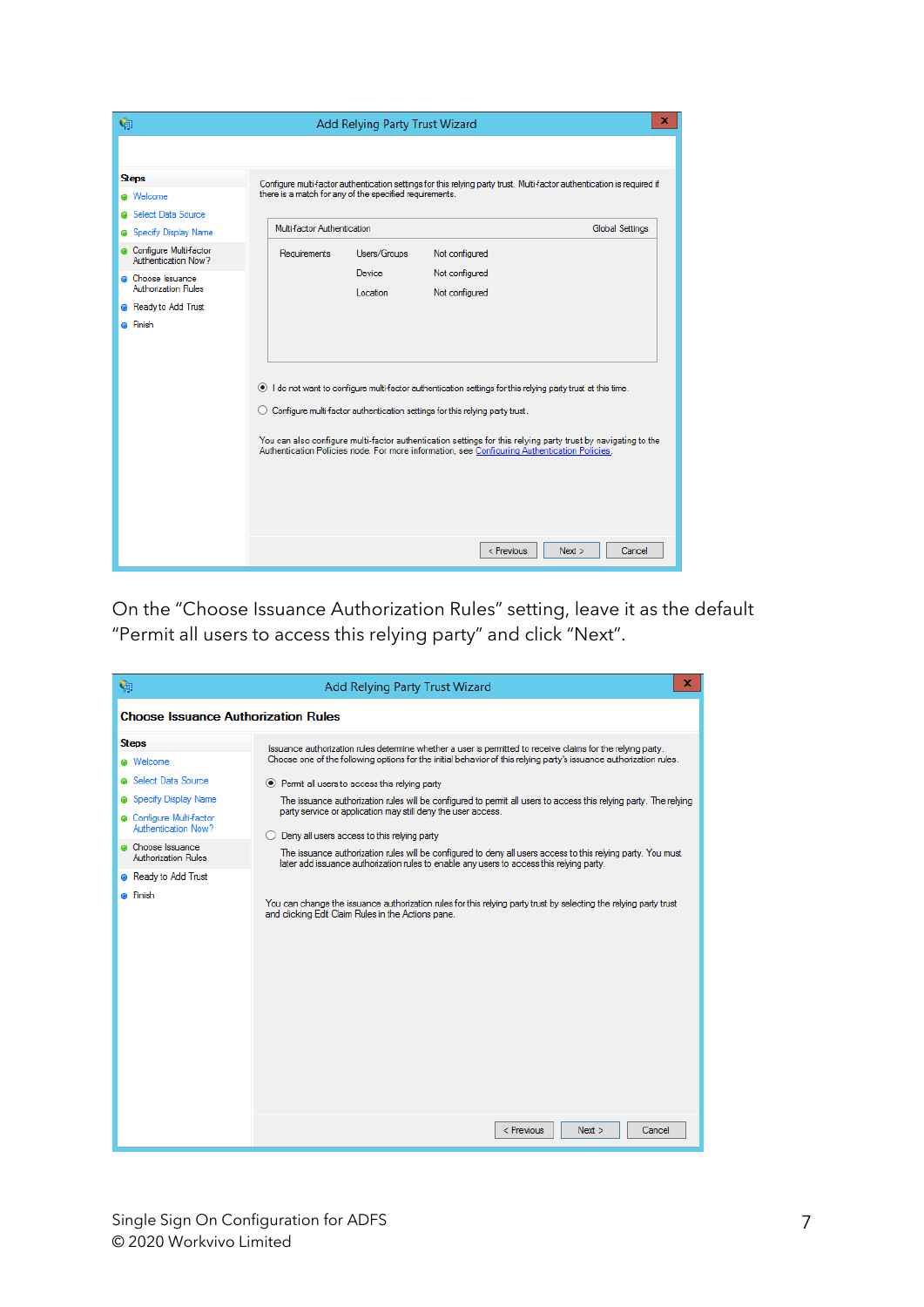| q,                                                                                                                                                                                                                        | x<br>Add Relying Party Trust Wizard                                                                                                                                                                                                                                                                                                                                                                                                             |  |  |  |  |  |  |
|---------------------------------------------------------------------------------------------------------------------------------------------------------------------------------------------------------------------------|-------------------------------------------------------------------------------------------------------------------------------------------------------------------------------------------------------------------------------------------------------------------------------------------------------------------------------------------------------------------------------------------------------------------------------------------------|--|--|--|--|--|--|
| <b>Steps</b><br>@ Welcome<br>Select Data Source<br><b>Specify Display Name</b><br>Configure Multi-factor<br>Authentication Now?<br>Choose Issuance<br><b>Authorization Rules</b><br>Ready to Add Trust<br><b>a</b> Finish | Configure multi-factor authentication settings for this relying party trust. Multi-factor authentication is required if<br>there is a match for any of the specified requirements.<br>Multi-factor Authentication<br><b>Global Settings</b><br>Users/Groups<br>Not configured<br>Requirements<br>Not configured<br>Device<br>Location<br>Not configured                                                                                         |  |  |  |  |  |  |
|                                                                                                                                                                                                                           | (e) I do not want to configure multi-factor authentication settings for this relying party trust at this time.<br>Configure multi-factor authentication settings for this relying party trust.<br>You can also configure multi-factor authentication settings for this relying party trust by navigating to the<br>Authentication Policies node. For more information, see Configuring Authentication Policies.<br>< Previous<br>Next<br>Cancel |  |  |  |  |  |  |

On the "Choose Issuance Authorization Rules" setting, leave it as the default "Permit all users to access this relying party" and click "Next".

| ۴ŋ                                                                                                                                                                                            | x<br>Add Relying Party Trust Wizard                                                                                                                                                                                                                                                                                                                                                                                                                                                                                                                                                                                                                                                                                                                                                             |  |  |  |  |  |
|-----------------------------------------------------------------------------------------------------------------------------------------------------------------------------------------------|-------------------------------------------------------------------------------------------------------------------------------------------------------------------------------------------------------------------------------------------------------------------------------------------------------------------------------------------------------------------------------------------------------------------------------------------------------------------------------------------------------------------------------------------------------------------------------------------------------------------------------------------------------------------------------------------------------------------------------------------------------------------------------------------------|--|--|--|--|--|
| <b>Choose Issuance Authorization Rules</b>                                                                                                                                                    |                                                                                                                                                                                                                                                                                                                                                                                                                                                                                                                                                                                                                                                                                                                                                                                                 |  |  |  |  |  |
| <b>Steps</b>                                                                                                                                                                                  | Issuance authorization rules determine whether a user is permitted to receive claims for the relying party.                                                                                                                                                                                                                                                                                                                                                                                                                                                                                                                                                                                                                                                                                     |  |  |  |  |  |
| @ Welcome<br><b>a</b> Select Data Source<br>Specify Display Name<br>Configure Multi-factor<br>Authentication Now?<br>Choose Issuance<br>Authorization Rules<br>Ready to Add Trust<br>⊕ Finish | Choose one of the following options for the initial behavior of this relying party's issuance authorization rules.<br>◉ Pemit all users to access this relying party<br>The issuance authorization rules will be configured to permit all users to access this relying party. The relying<br>party service or application may still deny the user access.<br>Deny all users access to this relying party<br>The issuance authorization rules will be configured to deny all users access to this relying party. You must<br>later add issuance authorization rules to enable any users to access this relying party.<br>You can change the issuance authorization rules for this relying party trust by selecting the relying party trust<br>and clicking Edit Claim Rules in the Actions pane. |  |  |  |  |  |
|                                                                                                                                                                                               | < Previous<br>Next<br>Cancel                                                                                                                                                                                                                                                                                                                                                                                                                                                                                                                                                                                                                                                                                                                                                                    |  |  |  |  |  |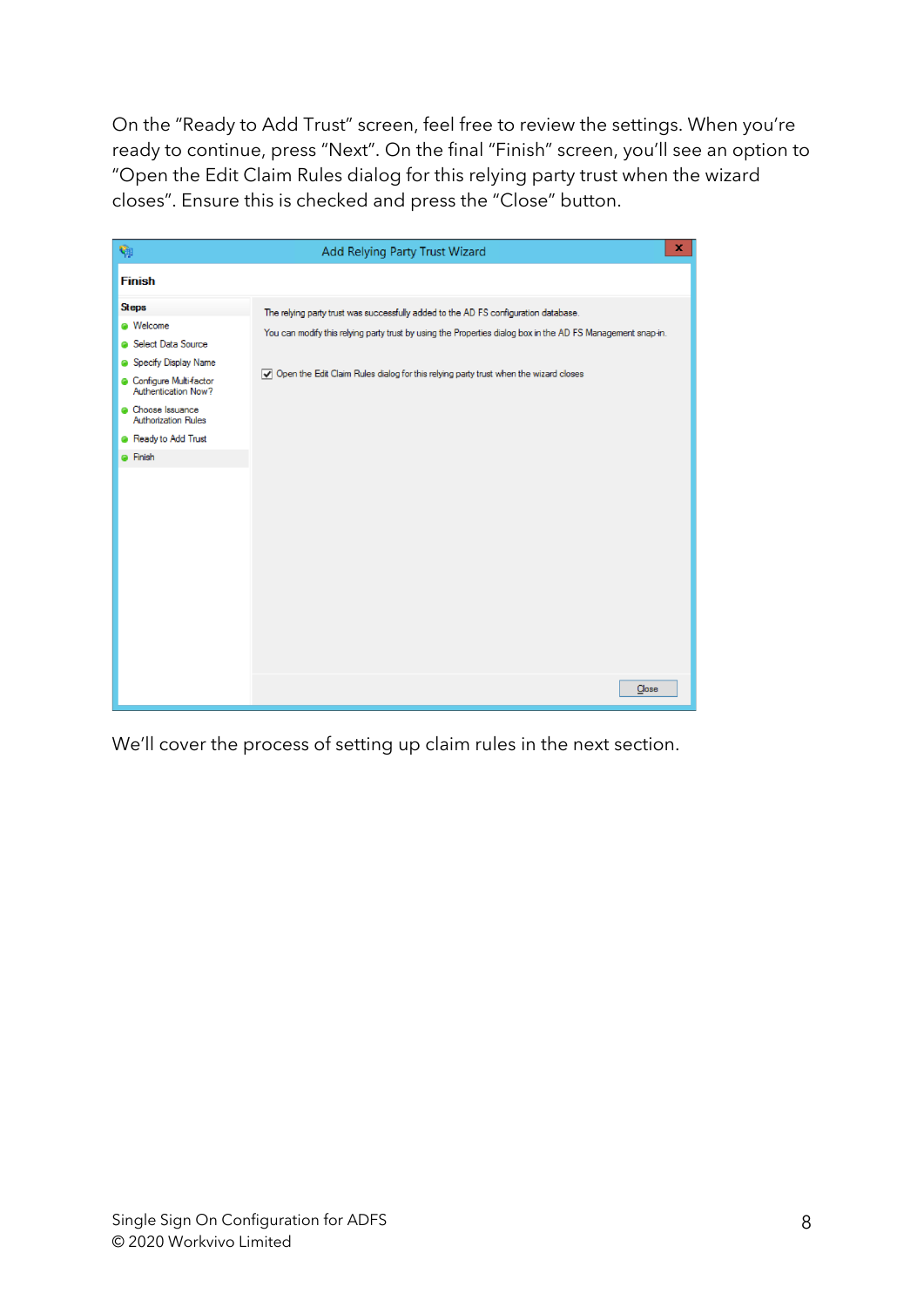On the "Ready to Add Trust" screen, feel free to review the settings. When you're ready to continue, press "Next". On the final "Finish" screen, you'll see an option to "Open the Edit Claim Rules dialog for this relying party trust when the wizard closes". Ensure this is checked and press the "Close" button.



We'll cover the process of setting up claim rules in the next section.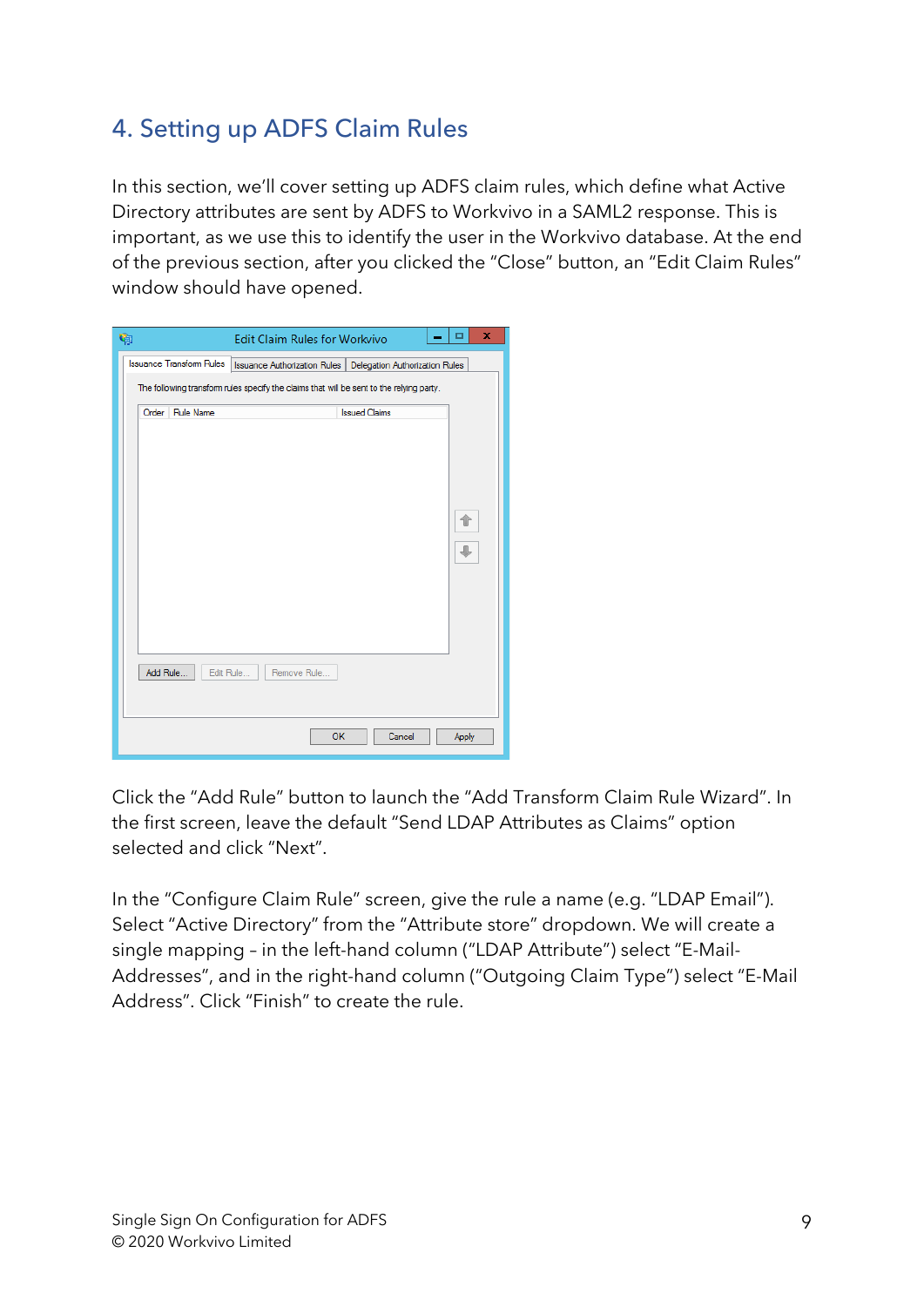#### 4. Setting up ADFS Claim Rules

In this section, we'll cover setting up ADFS claim rules, which define what Active Directory attributes are sent by ADFS to Workvivo in a SAML2 response. This is important, as we use this to identify the user in the Workvivo database. At the end of the previous section, after you clicked the "Close" button, an "Edit Claim Rules" window should have opened.

| Ģ                               | <b>Edit Claim Rules for Workvivo</b>                                                     |                                | ×<br>□<br>-        |
|---------------------------------|------------------------------------------------------------------------------------------|--------------------------------|--------------------|
| <b>Issuance Transform Rules</b> | <b>Issuance Authorization Rules</b>                                                      | Delegation Authorization Rules |                    |
|                                 | The following transform rules specify the claims that will be sent to the relying party. |                                |                    |
| <b>Rule Name</b><br>Order       |                                                                                          | <b>Issued Claims</b>           |                    |
|                                 |                                                                                          |                                |                    |
|                                 |                                                                                          |                                |                    |
|                                 |                                                                                          |                                |                    |
|                                 |                                                                                          |                                |                    |
|                                 |                                                                                          |                                | $\hat{\mathbf{T}}$ |
|                                 |                                                                                          |                                |                    |
|                                 |                                                                                          |                                |                    |
|                                 |                                                                                          |                                |                    |
|                                 |                                                                                          |                                |                    |
|                                 |                                                                                          |                                |                    |
|                                 |                                                                                          |                                |                    |
| Add Rule<br>Edit Rule           | Remove Rule                                                                              |                                |                    |
|                                 |                                                                                          |                                |                    |
|                                 |                                                                                          |                                |                    |
|                                 | <b>OK</b>                                                                                | Cancel                         | Apply              |
|                                 |                                                                                          |                                |                    |

Click the "Add Rule" button to launch the "Add Transform Claim Rule Wizard". In the first screen, leave the default "Send LDAP Attributes as Claims" option selected and click "Next".

In the "Configure Claim Rule" screen, give the rule a name (e.g. "LDAP Email"). Select "Active Directory" from the "Attribute store" dropdown. We will create a single mapping – in the left-hand column ("LDAP Attribute") select "E-Mail-Addresses", and in the right-hand column ("Outgoing Claim Type") select "E-Mail Address". Click "Finish" to create the rule.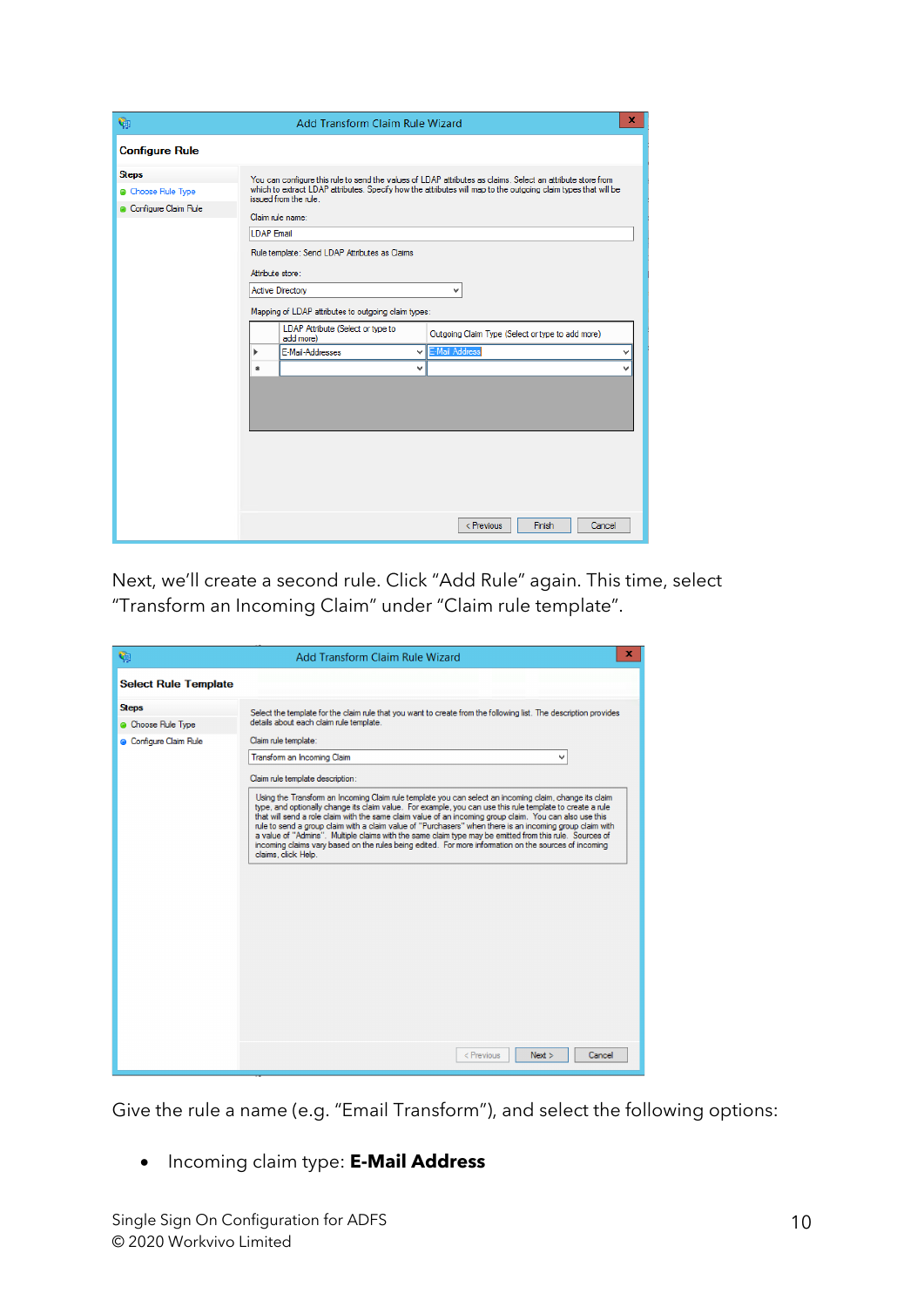| ٩                                                        | x<br><b>Add Transform Claim Rule Wizard</b>                                                                                                                                                                                                                                                                                                                                                                                                                                                                                                                                                                                                     |  |  |  |  |
|----------------------------------------------------------|-------------------------------------------------------------------------------------------------------------------------------------------------------------------------------------------------------------------------------------------------------------------------------------------------------------------------------------------------------------------------------------------------------------------------------------------------------------------------------------------------------------------------------------------------------------------------------------------------------------------------------------------------|--|--|--|--|
| <b>Configure Rule</b>                                    |                                                                                                                                                                                                                                                                                                                                                                                                                                                                                                                                                                                                                                                 |  |  |  |  |
| <b>Steps</b><br>Choose Rule Type<br>Configure Claim Rule | You can configure this rule to send the values of LDAP attributes as claims. Select an attribute store from<br>which to extract LDAP attributes. Specify how the attributes will map to the outgoing claim types that will be<br>issued from the rule.<br>Claim rule name:<br><b>I DAP Fmail</b><br>Rule template: Send LDAP Attributes as Claims<br>Attribute store:<br><b>Active Directory</b><br>v<br>Mapping of LDAP attributes to outgoing claim types:<br>LDAP Attribute (Select or type to<br>Outgoing Claim Type (Select or type to add more)<br>add more)<br><b>E-Mail Address</b><br><b>F-Mail-Addresses</b><br>v<br>v<br>v<br>ŵ<br>v |  |  |  |  |
|                                                          | Finish<br>< Previous<br>Cancel                                                                                                                                                                                                                                                                                                                                                                                                                                                                                                                                                                                                                  |  |  |  |  |

Next, we'll create a second rule. Click "Add Rule" again. This time, select "Transform an Incoming Claim" under "Claim rule template".

| ę,                          | ×<br>Add Transform Claim Rule Wizard                                                                                                                                                                                                                                                                                                                                                                                                                                                                                                                                                                                                                                                  |
|-----------------------------|---------------------------------------------------------------------------------------------------------------------------------------------------------------------------------------------------------------------------------------------------------------------------------------------------------------------------------------------------------------------------------------------------------------------------------------------------------------------------------------------------------------------------------------------------------------------------------------------------------------------------------------------------------------------------------------|
| <b>Select Rule Template</b> |                                                                                                                                                                                                                                                                                                                                                                                                                                                                                                                                                                                                                                                                                       |
| <b>Steps</b>                | Select the template for the claim rule that you want to create from the following list. The description provides                                                                                                                                                                                                                                                                                                                                                                                                                                                                                                                                                                      |
| Choose Rule Type            | details about each claim rule template.                                                                                                                                                                                                                                                                                                                                                                                                                                                                                                                                                                                                                                               |
| Configure Claim Rule        | Claim rule template:                                                                                                                                                                                                                                                                                                                                                                                                                                                                                                                                                                                                                                                                  |
|                             | Transform an Incoming Claim<br>v                                                                                                                                                                                                                                                                                                                                                                                                                                                                                                                                                                                                                                                      |
|                             | Claim rule template description:                                                                                                                                                                                                                                                                                                                                                                                                                                                                                                                                                                                                                                                      |
|                             | Using the Transform an Incoming Claim rule template you can select an incoming claim, change its claim<br>type, and optionally change its claim value. For example, you can use this rule template to create a rule<br>that will send a role claim with the same claim value of an incoming group claim. You can also use this<br>rule to send a group claim with a claim value of "Purchasers" when there is an incoming group claim with<br>a value of "Admins". Multiple claims with the same claim type may be emitted from this rule. Sources of<br>incoming claims vary based on the rules being edited. For more information on the sources of incoming<br>claims, click Help. |
|                             | < Previous<br>Next<br>Cancel                                                                                                                                                                                                                                                                                                                                                                                                                                                                                                                                                                                                                                                          |

Give the rule a name (e.g. "Email Transform"), and select the following options:

• Incoming claim type: **E-Mail Address**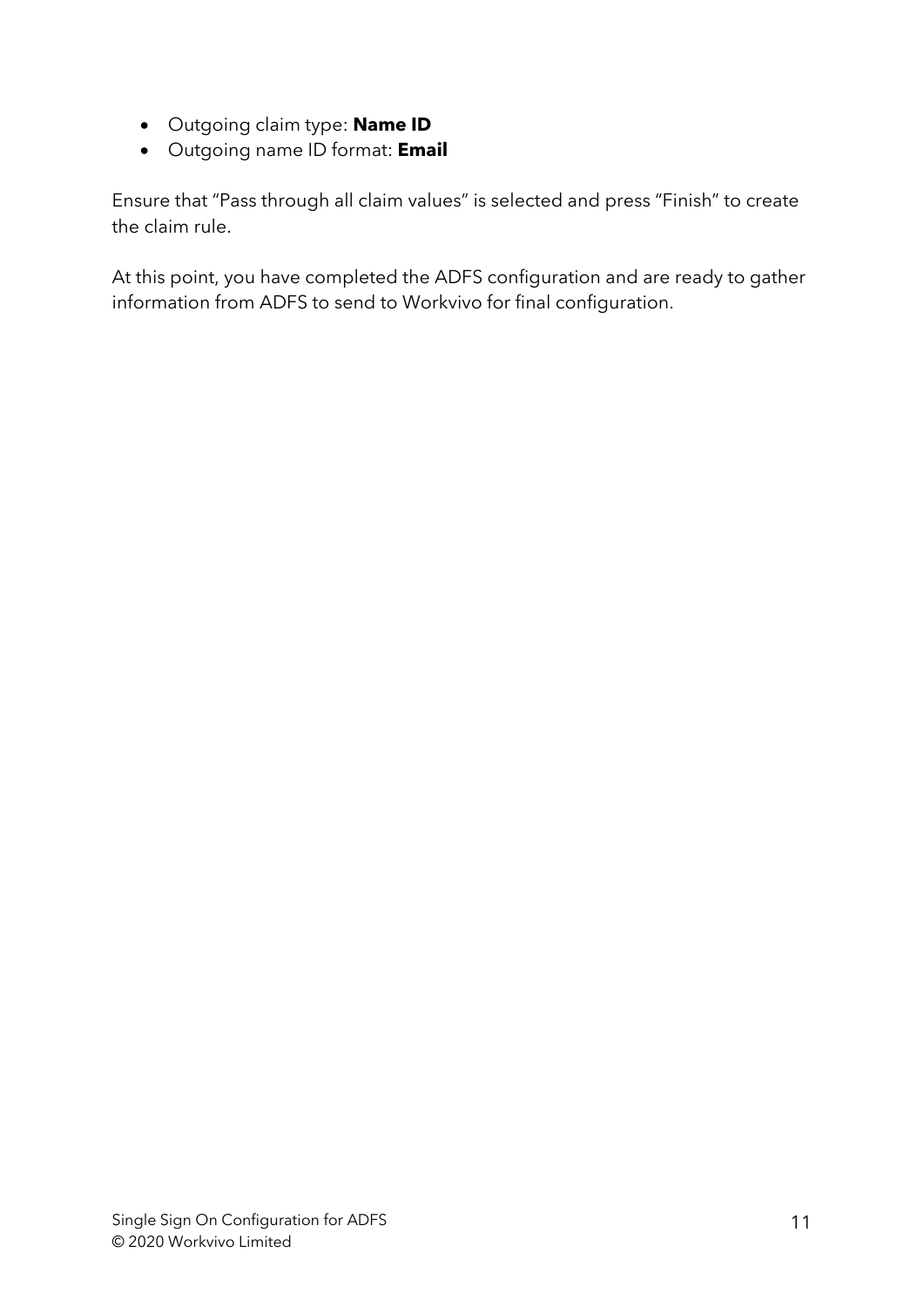- Outgoing claim type: **Name ID**
- Outgoing name ID format: **Email**

Ensure that "Pass through all claim values" is selected and press "Finish" to create the claim rule.

At this point, you have completed the ADFS configuration and are ready to gather information from ADFS to send to Workvivo for final configuration.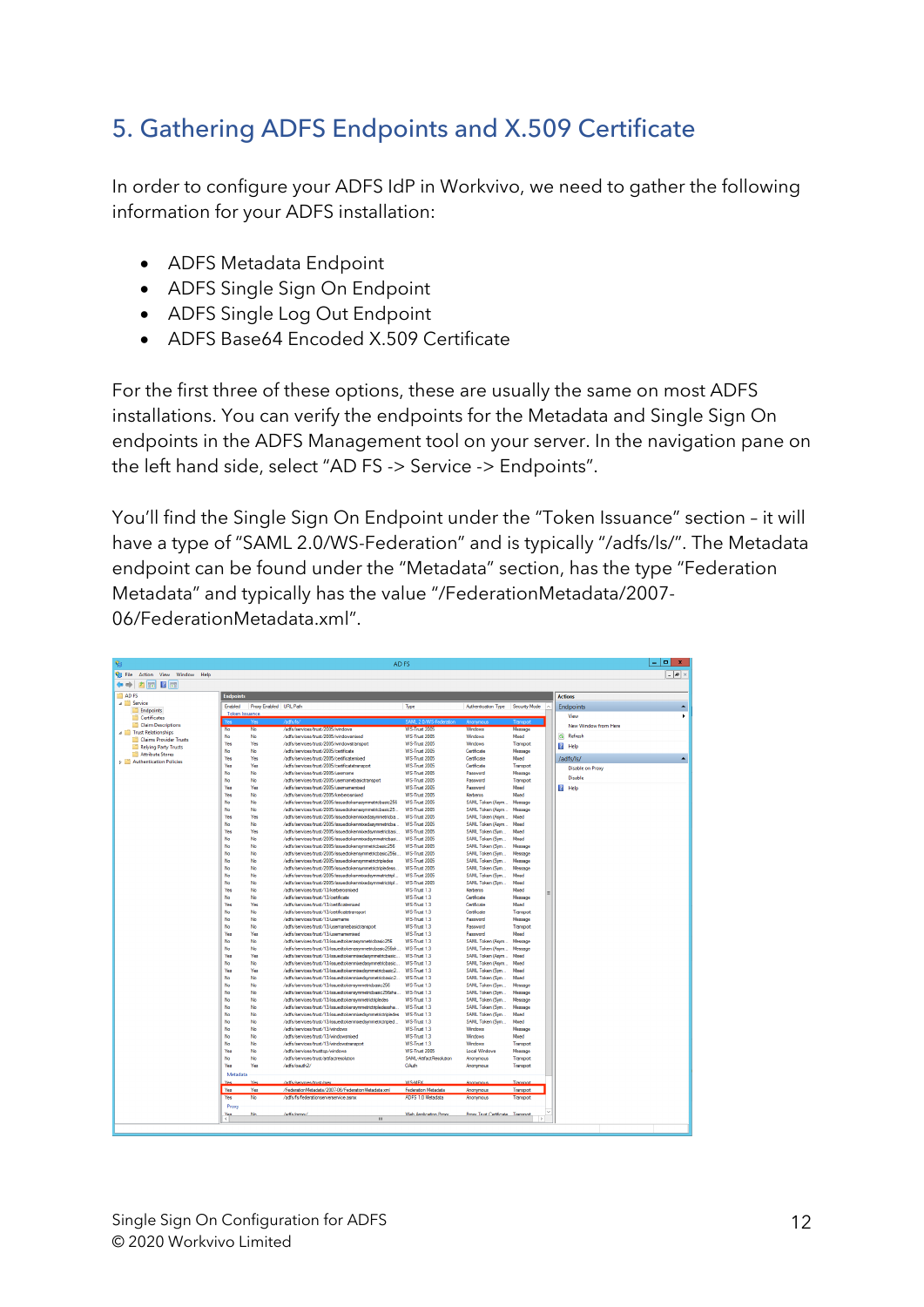## 5. Gathering ADFS Endpoints and X.509 Certificate

In order to configure your ADFS IdP in Workvivo, we need to gather the following information for your ADFS installation:

- ADFS Metadata Endpoint
- ADFS Single Sign On Endpoint
- ADFS Single Log Out Endpoint
- ADFS Base64 Encoded X.509 Certificate

For the first three of these options, these are usually the same on most ADFS installations. You can verify the endpoints for the Metadata and Single Sign On endpoints in the ADFS Management tool on your server. In the navigation pane on the left hand side, select "AD FS -> Service -> Endpoints".

You'll find the Single Sign On Endpoint under the "Token Issuance" section – it will have a type of "SAML 2.0/WS-Federation" and is typically "/adfs/ls/". The Metadata endpoint can be found under the "Metadata" section, has the type "Federation Metadata" and typically has the value "/FederationMetadata/2007- 06/FederationMetadata.xml".

|                                             |                        |                                                                                             | AD FS                                    |                                   |                        |                      |
|---------------------------------------------|------------------------|---------------------------------------------------------------------------------------------|------------------------------------------|-----------------------------------|------------------------|----------------------|
| Action View Window Help                     |                        |                                                                                             |                                          |                                   |                        |                      |
| $\leftrightarrow$ 2 $\text{E}$ 2 $\text{E}$ |                        |                                                                                             |                                          |                                   |                        |                      |
| <b>Endpoints</b>                            |                        |                                                                                             |                                          |                                   |                        | <b>Actions</b>       |
| Enabled                                     | Proxy Enabled URL Path |                                                                                             | Type                                     | Authentication Type Security Mode | l a                    | <b>Endpoints</b>     |
| <b>Token Issuance</b>                       |                        |                                                                                             |                                          |                                   |                        | View                 |
| Claim Descriptions                          |                        |                                                                                             |                                          |                                   |                        | New Window from Here |
| No<br><b>Trust Relationships</b>            | No.                    | /adfs/services/trust/2005/windows                                                           | <b>WS-True 2005</b>                      | Windows                           | Message                |                      |
| No<br>Claims Provider Trusts                | No                     | /adfs/services/trust/2005/windowsmixed                                                      | WS-Trust 2005                            | Windows                           | Mored                  | Ġ.<br>Refresh        |
| Yes<br>Relying Party Trusts                 | Yes                    | /adfs/services/trust/2005/windowstransport                                                  | WS-Trust 2005                            | Windows                           | Transport              | <b>Z</b> Help        |
| No<br>Attribute Stores<br>Yes               | No<br>Yes              | /adfs/services/trust/2005/certificate<br>/adfs/services/trust/2005/certificatemixed         | WS-Trust 2005<br><b>WS-Trust 2005</b>    | Certificate<br>Certficate         | Message<br>Mored       |                      |
| <b>D</b> Authentication Policies<br>Yes     | Yes                    | /adfs/services/trust/2005/certificatetransport                                              | WS-Trust 2005                            | Certificate                       | Transport              | /adfs/ls/            |
| No                                          | No.                    | /adfs/services/trust/2005/usemame                                                           | <b>WS-Trust 2005</b>                     | Password                          | Message                | Disable on Proxy     |
| No                                          | No                     | /adfs/services/trust/2005/usemamebasictransport                                             | WS-Trust 2005                            | Password                          | Transport              | <b>Disable</b>       |
| Yes                                         | Yes                    | /adfs/services/trust/2005/usemamemixed                                                      | WS-Trust 2005                            | Password                          | Mored                  | <b>Z</b> Help        |
| Yes                                         | No                     | /adfs/services/trust/2005/kerberosmixed                                                     | <b>WS-Trust 2005</b>                     | Kerberos                          | Moted                  |                      |
| No                                          | No                     | /adfs/services/trust/2005/issuedtokenasymmetricbasic256                                     | <b>WS-Trust 2005</b>                     | SAML Token (Asym                  | Message                |                      |
| No                                          | No                     | /adfs/services/trust/2005/issuedtokenasymmetricbasic25                                      | WS-Trust 2005                            | SAML Token (Asym                  | Message                |                      |
| Yes                                         | Yes                    | /adfs/services/trust/2005/issuedtokenmixedasymmetricba                                      | WS-Trust 2005                            | SAML Token (Asym                  | Mored                  |                      |
| No                                          | No.                    | /adfs/services/trust/2005/issuedtokenmixedasymmetricba                                      | WS-Trust 2005                            | SAML Token (Asym                  | Mixed                  |                      |
| Yes                                         | Yes                    | /adfs/services/trust/2005/issuedtokenmixedsymmetricbasi                                     | WS-Trust 2005                            | SAML Token (Sym                   | Mored                  |                      |
| No                                          | No                     | /adfs/services/trust/2005/issuedtokenmixedsymmetricbasi                                     | WS-Trust 2005                            | SAML Token (Sym.                  | Mored                  |                      |
| No                                          | No.                    | /adfs/services/trust/2005/issuedtokensymmetricbasic256                                      | WS-Trust 2005                            | SAML Token (Sym                   | Messane                |                      |
| No                                          | No                     | /adfs/services/trust/2005/issuedtokensymmetricbasic256s.                                    | WS-Trust 2005                            | SAML Token (Sym.,                 | Message                |                      |
| No                                          | No                     | /adfs/services/trust/2005/issuedtokensymmetrictripledes                                     | <b>WS-True 2005</b>                      | SAML Token (Sym                   | Message                |                      |
| No                                          | No                     | /adfs/services/trust/2005/issuedtokensymmetrictripledess                                    | WS-Trust 2005                            | SAML Token (Sym.,                 | Message                |                      |
| No                                          | No                     | /adfs/services/trust/2005/issuedtokenmixedsymmetrictripl                                    | WS-Trust 2005                            | SAML Token (Sym                   | Mood                   |                      |
| No                                          | No                     | /adfs/services/trust/2005/issuedtokenmixedsymmetrictripl                                    | WS-Trust 2005                            | SAML Token (Sym                   | Mored                  |                      |
| Yes                                         | No.                    | /adfs/services/trust/13/kerberosmixed                                                       | WS-Trust 1.3                             | Kerberos                          | Mond                   |                      |
| No<br>Yes                                   | <b>No</b><br>Yes       | /adfs/services/trust/13/certificate<br>/adfs/services/trust/13/certificatemixed             | WS-Trust 1.3<br>WS-Trust 1.3             | Certificate<br>Certficate         | Message<br>Mored       |                      |
| No                                          | No                     | /adfs/services/trust/13/certificatetransport                                                | WS-Trust 1.3                             | Certificate                       |                        |                      |
| No                                          | No                     | /adfs/services/trust/13/usemame                                                             | WS-Trust 1.3                             | Password                          | Transport<br>Message   |                      |
| No                                          | No                     | /adfs/services/trust/13/usemamebasictransport                                               | WS-Trust 1.3                             | Password                          | Transport              |                      |
| Yes                                         | Yes                    | /adfs/services/trust/13/usemamemond                                                         | WS-Trust 1.3                             | Password                          | Mored                  |                      |
| No                                          | No                     | /adfs/services/trust/13/issuedtokenasymmetricbasic256                                       | WS-Trust 1.3                             | SAML Token (Asym                  | Message                |                      |
| No                                          | No                     | /adfs/services/trust/13/issuedtokenasymmetricbasic256sh WS-Trust 1.3                        |                                          | SAML Token (Asym                  | Message                |                      |
| Yes                                         | Yes                    | /adfs/services/trust/13/issuedtokenmixedasymmetricbasic WS-Trust 1.3                        |                                          | SAML Token (Asym                  | Mond                   |                      |
| No                                          | No                     | /adfs/services/trust/13/issuedtokenmixedasvmmetricbasic                                     | WS-Trust 1.3                             | SAML Token (Asym                  | Mond                   |                      |
| Yes                                         | Yes                    | /adfs/services/trust/13/issuedtokenmixedsymmetricbasic2                                     | WS-Trust 1.3                             | SAML Token (Sym                   | Mond                   |                      |
| No                                          | No                     | /adfs/services/trust/13/issuedtokenmixedsymmetricbasic2                                     | WS-Trust 1.3                             | SAML Token (Sym                   | Mond                   |                      |
| No                                          | No                     | /adfs/services/trust/13/issuedtokensymmetricbasic256                                        | WS-Trust 1.3                             | SAML Token (Sym.,                 | Message                |                      |
| No                                          | No                     | /adfs/services/trust/13/issuedtokensymmetricbasic256sha  WS-Trust 1.3                       |                                          | SAML Token (Sym                   | Message                |                      |
| No                                          | No                     | /adfs/services/trust/13/issuedtokensymmetrictripledes                                       | WS-Trust 1.3                             | SAML Token (Sym                   | Message                |                      |
| No                                          | No                     | /adfs/services/trust/13/issuedtokensymmetrictripledessha                                    | WS-Trust 1.3                             | SAML Token (Sym                   | Message                |                      |
| No                                          | No                     | /adfs/services/trust/13/issuedtokenmixedsymmetrictripledes                                  | WS-Trust 1.3                             | SAML Token (Sym                   | Mored                  |                      |
| No                                          | No                     | /adfs/services/trust/13/issuedtokennixedsymmetrictripled                                    | WS-Trust 1.3                             | SAML Token (Sym                   | Mond                   |                      |
| No                                          | No                     | /adfs/services/trust/13/windows                                                             | WS-Trust 1.3                             | Windows                           | Message                |                      |
| No                                          | No                     | /adfs/services/trust/13/windowsmixed                                                        | WS-Trust 1.3                             | Windows                           | Mond                   |                      |
| No<br>Yes                                   | No<br>No               | /adfs/services/trust/13/windowstransport<br>/adfs/services/trusttop/windows                 | WS-Trust 1.3<br>WS-Trust 2005            | Windows<br>Local Windows          | Transport<br>Message   |                      |
| No                                          | No                     | /adfs/services/trust/artifactresolution                                                     | SAML-Artifact Resolution                 | Anonymous                         | Transport              |                      |
| Yes                                         | Yes                    | /adfs/oauth2/                                                                               | OAsth                                    | Anonymous                         | Transport              |                      |
|                                             |                        |                                                                                             |                                          |                                   |                        |                      |
| Metadata<br>Ya                              | Yes                    |                                                                                             | MC MEY                                   |                                   |                        |                      |
|                                             |                        | adis/services/mist/meg                                                                      |                                          | Announcus                         | Transport              |                      |
| Yes<br>Yes                                  | Yes<br>No.             | /FederationMetadata/2007-06/FederationMetadata.xml<br>/adfs/fs/federationserverservice.asmx | Federation Metadata<br>ADFS 1.0 Metadata | Anonymous<br>Anonymous            | Transport<br>Transport |                      |
|                                             |                        |                                                                                             |                                          |                                   |                        |                      |
| Proxy                                       |                        |                                                                                             |                                          |                                   |                        |                      |
|                                             | м.                     | <b>India Incorporal</b><br>$\mathbf{H}$                                                     | Web Anglication Propr.                   | Prov. Trust Certificate Transport | $\rightarrow$          |                      |
|                                             |                        |                                                                                             |                                          |                                   |                        |                      |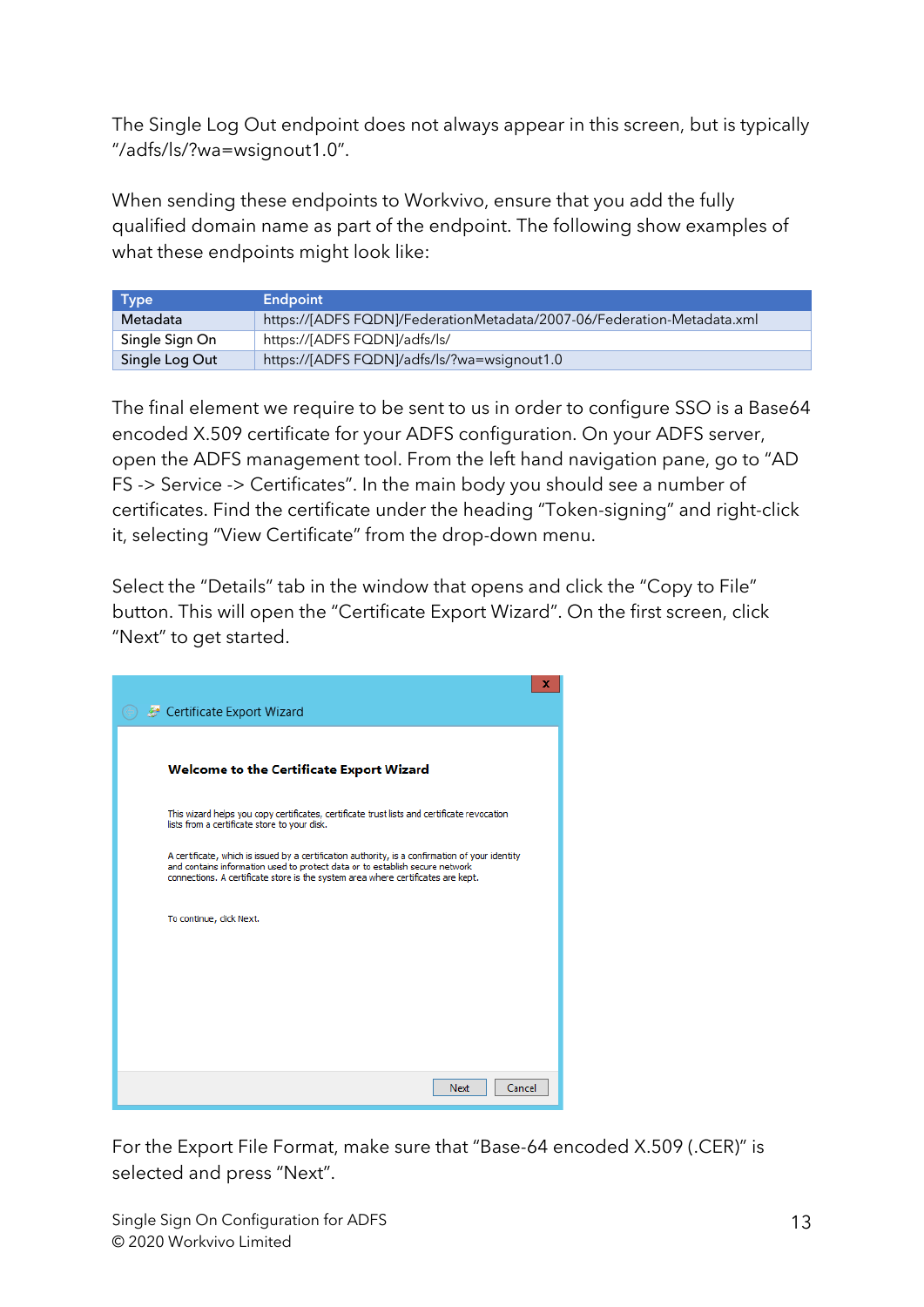The Single Log Out endpoint does not always appear in this screen, but is typically "/adfs/ls/?wa=wsignout1.0".

When sending these endpoints to Workvivo, ensure that you add the fully qualified domain name as part of the endpoint. The following show examples of what these endpoints might look like:

| <b>Type</b>    | <b>Endpoint</b>                                                        |
|----------------|------------------------------------------------------------------------|
| Metadata       | https://[ADFS FQDN]/FederationMetadata/2007-06/Federation-Metadata.xml |
| Single Sign On | https://[ADFS FQDN]/adfs/ls/                                           |
| Single Log Out | https://[ADFS FQDN]/adfs/ls/?wa=wsignout1.0                            |

The final element we require to be sent to us in order to configure SSO is a Base64 encoded X.509 certificate for your ADFS configuration. On your ADFS server, open the ADFS management tool. From the left hand navigation pane, go to "AD FS -> Service -> Certificates". In the main body you should see a number of certificates. Find the certificate under the heading "Token-signing" and right-click it, selecting "View Certificate" from the drop-down menu.

Select the "Details" tab in the window that opens and click the "Copy to File" button. This will open the "Certificate Export Wizard". On the first screen, click "Next" to get started.

| Certificate Export Wizard                                                                                                                                                                                                                                           | x |
|---------------------------------------------------------------------------------------------------------------------------------------------------------------------------------------------------------------------------------------------------------------------|---|
|                                                                                                                                                                                                                                                                     |   |
| Welcome to the Certificate Export Wizard                                                                                                                                                                                                                            |   |
| This wizard helps you copy certificates, certificate trust lists and certificate revocation<br>lists from a certificate store to your disk.                                                                                                                         |   |
| A certificate, which is issued by a certification authority, is a confirmation of your identity<br>and contains information used to protect data or to establish secure network<br>connections. A certificate store is the system area where certificates are kept. |   |
| To continue, click Next.                                                                                                                                                                                                                                            |   |
|                                                                                                                                                                                                                                                                     |   |
|                                                                                                                                                                                                                                                                     |   |
|                                                                                                                                                                                                                                                                     |   |
| Cancel<br>Next                                                                                                                                                                                                                                                      |   |

For the Export File Format, make sure that "Base-64 encoded X.509 (.CER)" is selected and press "Next".